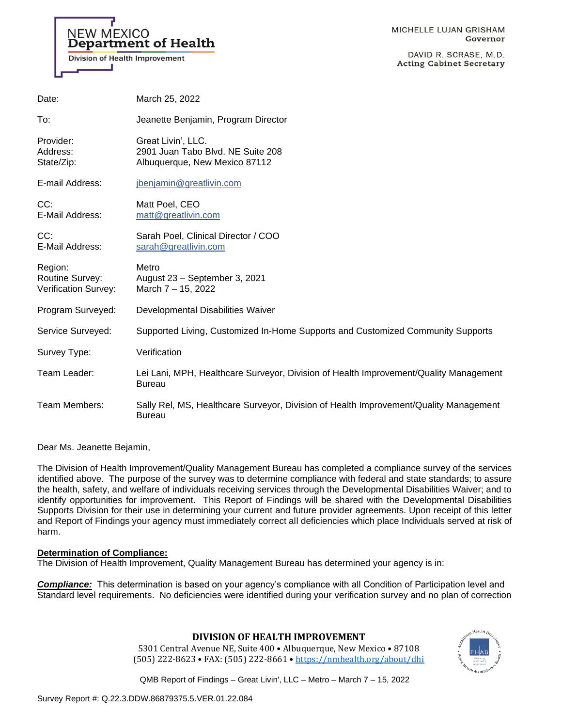# **NEW MEXICO Department of Health**

**Division of Health Improvement** 

DAVID R. SCRASE, M.D. **Acting Cabinet Secretary** 

| Date:                                              | March 25, 2022                                                                                         |
|----------------------------------------------------|--------------------------------------------------------------------------------------------------------|
| To:                                                | Jeanette Benjamin, Program Director                                                                    |
| Provider:<br>Address:<br>State/Zip:                | Great Livin', LLC.<br>2901 Juan Tabo Blvd, NE Suite 208<br>Albuquerque, New Mexico 87112               |
| E-mail Address:                                    | jbenjamin@greatlivin.com                                                                               |
| CC:<br>E-Mail Address:                             | Matt Poel, CEO<br>matt@greatlivin.com                                                                  |
| CC:<br>E-Mail Address:                             | Sarah Poel, Clinical Director / COO<br>sarah@greatlivin.com                                            |
| Region:<br>Routine Survey:<br>Verification Survey: | Metro<br>August 23 - September 3, 2021<br>March 7 - 15, 2022                                           |
| Program Surveyed:                                  | Developmental Disabilities Waiver                                                                      |
| Service Surveyed:                                  | Supported Living, Customized In-Home Supports and Customized Community Supports                        |
| Survey Type:                                       | Verification                                                                                           |
| Team Leader:                                       | Lei Lani, MPH, Healthcare Surveyor, Division of Health Improvement/Quality Management<br><b>Bureau</b> |
| Team Members:                                      | Sally Rel, MS, Healthcare Surveyor, Division of Health Improvement/Quality Management<br>Bureau        |

Dear Ms. Jeanette Bejamin,

The Division of Health Improvement/Quality Management Bureau has completed a compliance survey of the services identified above. The purpose of the survey was to determine compliance with federal and state standards; to assure the health, safety, and welfare of individuals receiving services through the Developmental Disabilities Waiver; and to identify opportunities for improvement. This Report of Findings will be shared with the Developmental Disabilities Supports Division for their use in determining your current and future provider agreements. Upon receipt of this letter and Report of Findings your agency must immediately correct all deficiencies which place Individuals served at risk of harm.

# **Determination of Compliance:**

The Division of Health Improvement, Quality Management Bureau has determined your agency is in:

*Compliance:* This determination is based on your agency's compliance with all Condition of Participation level and Standard level requirements. No deficiencies were identified during your verification survey and no plan of correction

# **DIVISION OF HEALTH IMPROVEMENT**

5301 Central Avenue NE, Suite 400 • Albuquerque, New Mexico • 87108 (505) 222-8623 • FAX: (505) 222-8661 • <https://nmhealth.org/about/dhi>

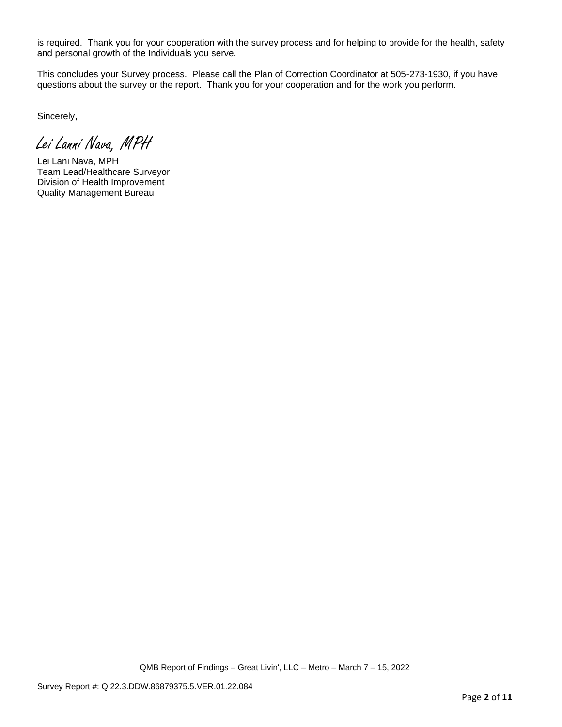is required. Thank you for your cooperation with the survey process and for helping to provide for the health, safety and personal growth of the Individuals you serve.

This concludes your Survey process. Please call the Plan of Correction Coordinator at 505-273-1930, if you have questions about the survey or the report. Thank you for your cooperation and for the work you perform.

Sincerely,

Lei Lanni Nava, MPH

Lei Lani Nava, MPH Team Lead/Healthcare Surveyor Division of Health Improvement Quality Management Bureau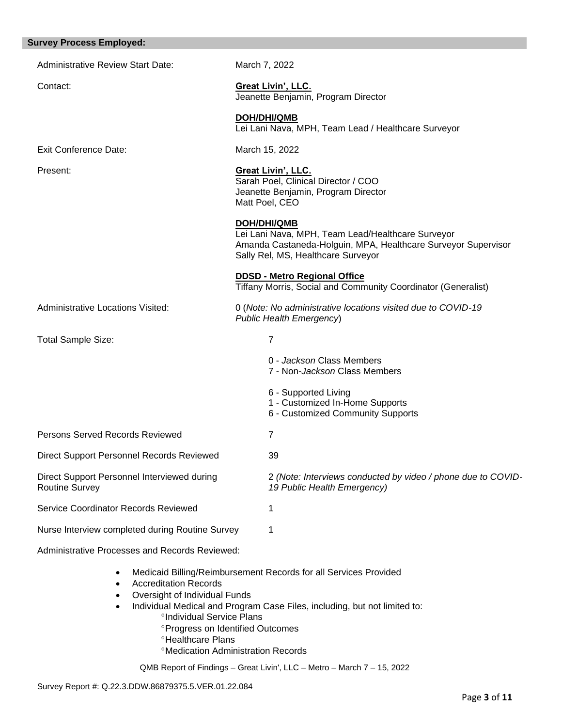| <b>Survey Process Employed:</b>                                      |                                                                                                                                                                                |
|----------------------------------------------------------------------|--------------------------------------------------------------------------------------------------------------------------------------------------------------------------------|
| <b>Administrative Review Start Date:</b>                             | March 7, 2022                                                                                                                                                                  |
| Contact:                                                             | <b>Great Livin', LLC.</b><br>Jeanette Benjamin, Program Director                                                                                                               |
|                                                                      | <b>DOH/DHI/QMB</b><br>Lei Lani Nava, MPH, Team Lead / Healthcare Surveyor                                                                                                      |
| <b>Exit Conference Date:</b>                                         | March 15, 2022                                                                                                                                                                 |
| Present:                                                             | <b>Great Livin', LLC.</b><br>Sarah Poel, Clinical Director / COO<br>Jeanette Benjamin, Program Director<br>Matt Poel, CEO                                                      |
|                                                                      | <b>DOH/DHI/QMB</b><br>Lei Lani Nava, MPH, Team Lead/Healthcare Surveyor<br>Amanda Castaneda-Holguin, MPA, Healthcare Surveyor Supervisor<br>Sally Rel, MS, Healthcare Surveyor |
|                                                                      | <b>DDSD - Metro Regional Office</b><br>Tiffany Morris, Social and Community Coordinator (Generalist)                                                                           |
| <b>Administrative Locations Visited:</b>                             | 0 (Note: No administrative locations visited due to COVID-19<br>Public Health Emergency)                                                                                       |
| <b>Total Sample Size:</b>                                            | $\overline{7}$                                                                                                                                                                 |
|                                                                      | 0 - Jackson Class Members<br>7 - Non-Jackson Class Members                                                                                                                     |
|                                                                      | 6 - Supported Living<br>1 - Customized In-Home Supports<br>6 - Customized Community Supports                                                                                   |
| <b>Persons Served Records Reviewed</b>                               | 7                                                                                                                                                                              |
| Direct Support Personnel Records Reviewed                            | 39                                                                                                                                                                             |
| Direct Support Personnel Interviewed during<br><b>Routine Survey</b> | 2 (Note: Interviews conducted by video / phone due to COVID-<br>19 Public Health Emergency)                                                                                    |
| Service Coordinator Records Reviewed                                 | 1                                                                                                                                                                              |
| Nurse Interview completed during Routine Survey                      | 1                                                                                                                                                                              |
| Administrative Processes and Records Reviewed:                       |                                                                                                                                                                                |

- - Medicaid Billing/Reimbursement Records for all Services Provided
	- Accreditation Records
	- Oversight of Individual Funds
	- Individual Medical and Program Case Files, including, but not limited to:
		- <sup>o</sup>Individual Service Plans
			- **Progress on Identified Outcomes**
		- **<sup>o</sup>Healthcare Plans**
		- Medication Administration Records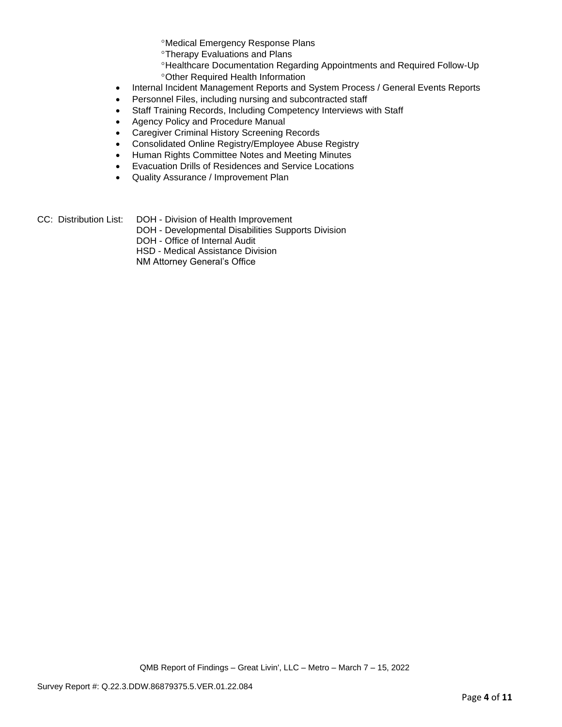Medical Emergency Response Plans

Therapy Evaluations and Plans

- Healthcare Documentation Regarding Appointments and Required Follow-Up Other Required Health Information
- Internal Incident Management Reports and System Process / General Events Reports
- Personnel Files, including nursing and subcontracted staff
- Staff Training Records, Including Competency Interviews with Staff
- Agency Policy and Procedure Manual
- Caregiver Criminal History Screening Records
- Consolidated Online Registry/Employee Abuse Registry
- Human Rights Committee Notes and Meeting Minutes
- Evacuation Drills of Residences and Service Locations
- Quality Assurance / Improvement Plan
- CC: Distribution List: DOH Division of Health Improvement
	- DOH Developmental Disabilities Supports Division
	- DOH Office of Internal Audit

HSD - Medical Assistance Division

NM Attorney General's Office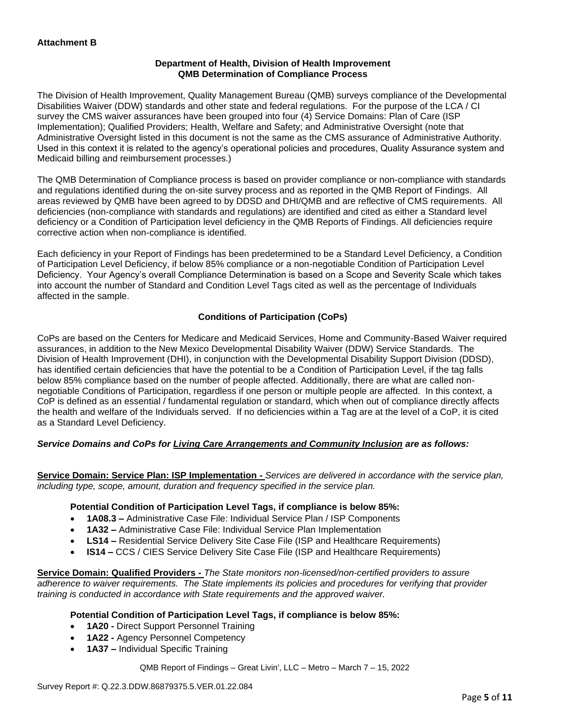# **Department of Health, Division of Health Improvement QMB Determination of Compliance Process**

The Division of Health Improvement, Quality Management Bureau (QMB) surveys compliance of the Developmental Disabilities Waiver (DDW) standards and other state and federal regulations. For the purpose of the LCA / CI survey the CMS waiver assurances have been grouped into four (4) Service Domains: Plan of Care (ISP Implementation); Qualified Providers; Health, Welfare and Safety; and Administrative Oversight (note that Administrative Oversight listed in this document is not the same as the CMS assurance of Administrative Authority. Used in this context it is related to the agency's operational policies and procedures, Quality Assurance system and Medicaid billing and reimbursement processes.)

The QMB Determination of Compliance process is based on provider compliance or non-compliance with standards and regulations identified during the on-site survey process and as reported in the QMB Report of Findings. All areas reviewed by QMB have been agreed to by DDSD and DHI/QMB and are reflective of CMS requirements. All deficiencies (non-compliance with standards and regulations) are identified and cited as either a Standard level deficiency or a Condition of Participation level deficiency in the QMB Reports of Findings. All deficiencies require corrective action when non-compliance is identified.

Each deficiency in your Report of Findings has been predetermined to be a Standard Level Deficiency, a Condition of Participation Level Deficiency, if below 85% compliance or a non-negotiable Condition of Participation Level Deficiency. Your Agency's overall Compliance Determination is based on a Scope and Severity Scale which takes into account the number of Standard and Condition Level Tags cited as well as the percentage of Individuals affected in the sample.

# **Conditions of Participation (CoPs)**

CoPs are based on the Centers for Medicare and Medicaid Services, Home and Community-Based Waiver required assurances, in addition to the New Mexico Developmental Disability Waiver (DDW) Service Standards. The Division of Health Improvement (DHI), in conjunction with the Developmental Disability Support Division (DDSD), has identified certain deficiencies that have the potential to be a Condition of Participation Level, if the tag falls below 85% compliance based on the number of people affected. Additionally, there are what are called nonnegotiable Conditions of Participation, regardless if one person or multiple people are affected. In this context, a CoP is defined as an essential / fundamental regulation or standard, which when out of compliance directly affects the health and welfare of the Individuals served. If no deficiencies within a Tag are at the level of a CoP, it is cited as a Standard Level Deficiency.

# *Service Domains and CoPs for Living Care Arrangements and Community Inclusion are as follows:*

**Service Domain: Service Plan: ISP Implementation -** *Services are delivered in accordance with the service plan, including type, scope, amount, duration and frequency specified in the service plan.*

### **Potential Condition of Participation Level Tags, if compliance is below 85%:**

- **1A08.3 –** Administrative Case File: Individual Service Plan / ISP Components
- **1A32 –** Administrative Case File: Individual Service Plan Implementation
- **LS14 –** Residential Service Delivery Site Case File (ISP and Healthcare Requirements)
- **IS14 –** CCS / CIES Service Delivery Site Case File (ISP and Healthcare Requirements)

**Service Domain: Qualified Providers -** *The State monitors non-licensed/non-certified providers to assure adherence to waiver requirements. The State implements its policies and procedures for verifying that provider training is conducted in accordance with State requirements and the approved waiver.*

### **Potential Condition of Participation Level Tags, if compliance is below 85%:**

- **1A20 -** Direct Support Personnel Training
- **1A22 -** Agency Personnel Competency
- **1A37 –** Individual Specific Training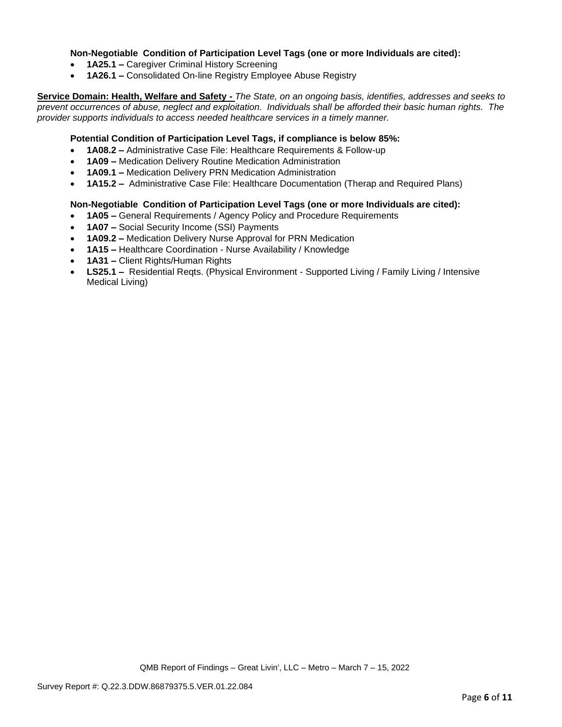# **Non-Negotiable Condition of Participation Level Tags (one or more Individuals are cited):**

- **1A25.1 –** Caregiver Criminal History Screening
- **1A26.1 –** Consolidated On-line Registry Employee Abuse Registry

**Service Domain: Health, Welfare and Safety -** *The State, on an ongoing basis, identifies, addresses and seeks to prevent occurrences of abuse, neglect and exploitation. Individuals shall be afforded their basic human rights. The provider supports individuals to access needed healthcare services in a timely manner.*

# **Potential Condition of Participation Level Tags, if compliance is below 85%:**

- **1A08.2 –** Administrative Case File: Healthcare Requirements & Follow-up
- **1A09 –** Medication Delivery Routine Medication Administration
- **1A09.1 –** Medication Delivery PRN Medication Administration
- **1A15.2 –** Administrative Case File: Healthcare Documentation (Therap and Required Plans)

### **Non-Negotiable Condition of Participation Level Tags (one or more Individuals are cited):**

- **1A05 –** General Requirements / Agency Policy and Procedure Requirements
- **1A07 –** Social Security Income (SSI) Payments
- **1A09.2 –** Medication Delivery Nurse Approval for PRN Medication
- **1A15 –** Healthcare Coordination Nurse Availability / Knowledge
- **1A31 –** Client Rights/Human Rights
- **LS25.1 –** Residential Reqts. (Physical Environment Supported Living / Family Living / Intensive Medical Living)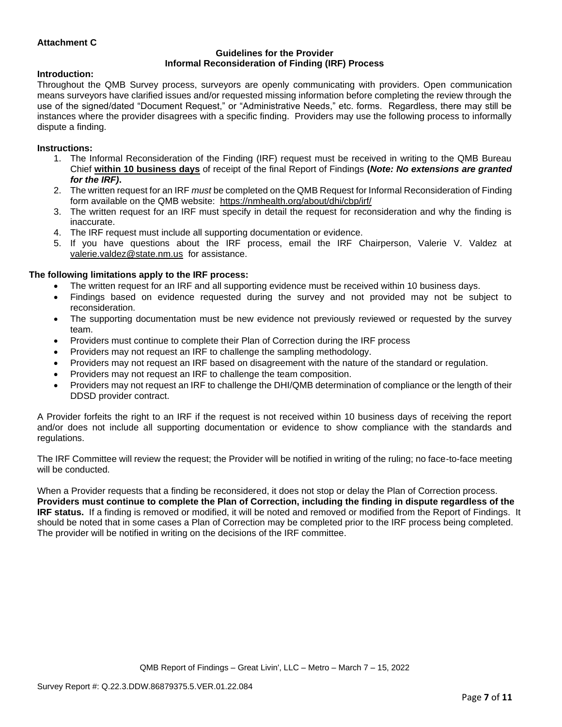# **Attachment C**

#### **Guidelines for the Provider Informal Reconsideration of Finding (IRF) Process**

### **Introduction:**

Throughout the QMB Survey process, surveyors are openly communicating with providers. Open communication means surveyors have clarified issues and/or requested missing information before completing the review through the use of the signed/dated "Document Request," or "Administrative Needs," etc. forms. Regardless, there may still be instances where the provider disagrees with a specific finding. Providers may use the following process to informally dispute a finding.

#### **Instructions:**

- 1. The Informal Reconsideration of the Finding (IRF) request must be received in writing to the QMB Bureau Chief **within 10 business days** of receipt of the final Report of Findings **(***Note: No extensions are granted for the IRF)***.**
- 2. The written request for an IRF *must* be completed on the QMB Request for Informal Reconsideration of Finding form available on the QMB website: <https://nmhealth.org/about/dhi/cbp/irf/>
- 3. The written request for an IRF must specify in detail the request for reconsideration and why the finding is inaccurate.
- 4. The IRF request must include all supporting documentation or evidence.
- 5. If you have questions about the IRF process, email the IRF Chairperson, Valerie V. Valdez at [valerie.valdez@state.nm.us](mailto:valerie.valdez@state.nm.us) for assistance.

### **The following limitations apply to the IRF process:**

- The written request for an IRF and all supporting evidence must be received within 10 business days.
- Findings based on evidence requested during the survey and not provided may not be subject to reconsideration.
- The supporting documentation must be new evidence not previously reviewed or requested by the survey team.
- Providers must continue to complete their Plan of Correction during the IRF process
- Providers may not request an IRF to challenge the sampling methodology.
- Providers may not request an IRF based on disagreement with the nature of the standard or regulation.
- Providers may not request an IRF to challenge the team composition.
- Providers may not request an IRF to challenge the DHI/QMB determination of compliance or the length of their DDSD provider contract.

A Provider forfeits the right to an IRF if the request is not received within 10 business days of receiving the report and/or does not include all supporting documentation or evidence to show compliance with the standards and regulations.

The IRF Committee will review the request; the Provider will be notified in writing of the ruling; no face-to-face meeting will be conducted.

When a Provider requests that a finding be reconsidered, it does not stop or delay the Plan of Correction process. **Providers must continue to complete the Plan of Correction, including the finding in dispute regardless of the IRF status.** If a finding is removed or modified, it will be noted and removed or modified from the Report of Findings. It should be noted that in some cases a Plan of Correction may be completed prior to the IRF process being completed. The provider will be notified in writing on the decisions of the IRF committee.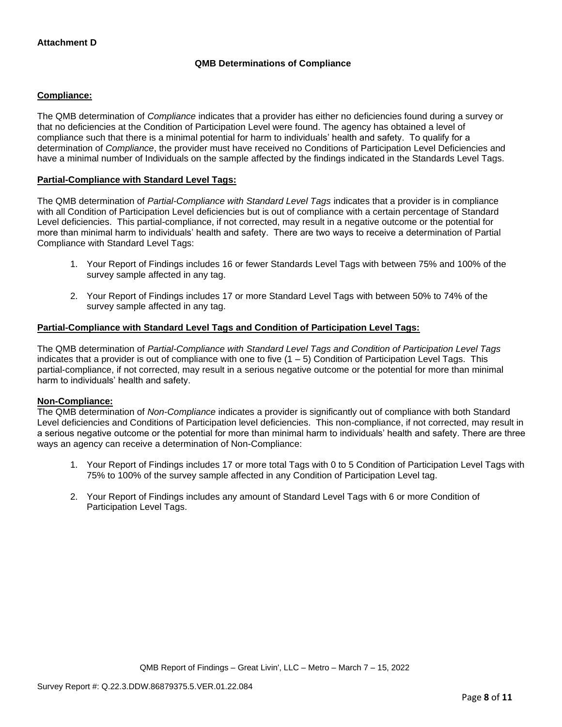# **QMB Determinations of Compliance**

# **Compliance:**

The QMB determination of *Compliance* indicates that a provider has either no deficiencies found during a survey or that no deficiencies at the Condition of Participation Level were found. The agency has obtained a level of compliance such that there is a minimal potential for harm to individuals' health and safety. To qualify for a determination of *Compliance*, the provider must have received no Conditions of Participation Level Deficiencies and have a minimal number of Individuals on the sample affected by the findings indicated in the Standards Level Tags.

# **Partial-Compliance with Standard Level Tags:**

The QMB determination of *Partial-Compliance with Standard Level Tags* indicates that a provider is in compliance with all Condition of Participation Level deficiencies but is out of compliance with a certain percentage of Standard Level deficiencies. This partial-compliance, if not corrected, may result in a negative outcome or the potential for more than minimal harm to individuals' health and safety. There are two ways to receive a determination of Partial Compliance with Standard Level Tags:

- 1. Your Report of Findings includes 16 or fewer Standards Level Tags with between 75% and 100% of the survey sample affected in any tag.
- 2. Your Report of Findings includes 17 or more Standard Level Tags with between 50% to 74% of the survey sample affected in any tag.

# **Partial-Compliance with Standard Level Tags and Condition of Participation Level Tags:**

The QMB determination of *Partial-Compliance with Standard Level Tags and Condition of Participation Level Tags*  indicates that a provider is out of compliance with one to five  $(1 - 5)$  Condition of Participation Level Tags. This partial-compliance, if not corrected, may result in a serious negative outcome or the potential for more than minimal harm to individuals' health and safety.

### **Non-Compliance:**

The QMB determination of *Non-Compliance* indicates a provider is significantly out of compliance with both Standard Level deficiencies and Conditions of Participation level deficiencies. This non-compliance, if not corrected, may result in a serious negative outcome or the potential for more than minimal harm to individuals' health and safety. There are three ways an agency can receive a determination of Non-Compliance:

- 1. Your Report of Findings includes 17 or more total Tags with 0 to 5 Condition of Participation Level Tags with 75% to 100% of the survey sample affected in any Condition of Participation Level tag.
- 2. Your Report of Findings includes any amount of Standard Level Tags with 6 or more Condition of Participation Level Tags.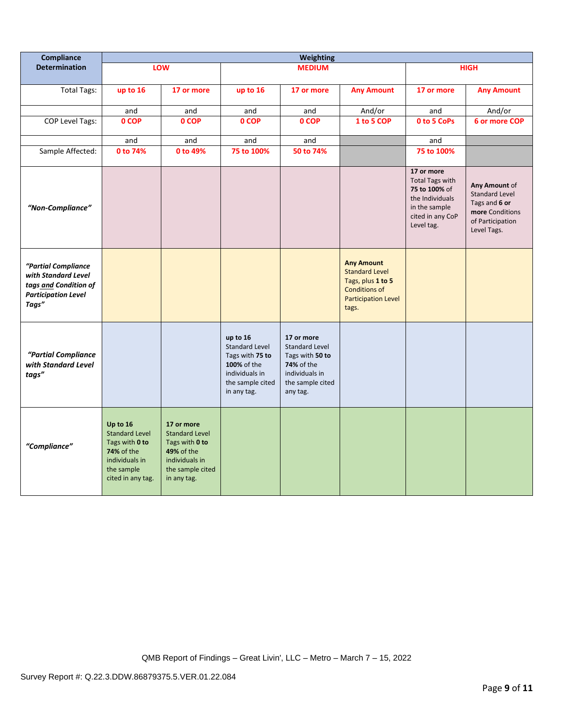| Compliance                                                                                                 | <b>Weighting</b>                                                                                                       |                                                                                                                          |                                                                                                                          |                                                                                                                        |                                                                                                                                |                                                                                                                             |                                                                                                               |
|------------------------------------------------------------------------------------------------------------|------------------------------------------------------------------------------------------------------------------------|--------------------------------------------------------------------------------------------------------------------------|--------------------------------------------------------------------------------------------------------------------------|------------------------------------------------------------------------------------------------------------------------|--------------------------------------------------------------------------------------------------------------------------------|-----------------------------------------------------------------------------------------------------------------------------|---------------------------------------------------------------------------------------------------------------|
| <b>Determination</b>                                                                                       | LOW                                                                                                                    |                                                                                                                          | <b>MEDIUM</b>                                                                                                            |                                                                                                                        |                                                                                                                                | <b>HIGH</b>                                                                                                                 |                                                                                                               |
| <b>Total Tags:</b>                                                                                         | up to 16                                                                                                               | 17 or more                                                                                                               | up to 16                                                                                                                 | 17 or more                                                                                                             | <b>Any Amount</b>                                                                                                              | 17 or more                                                                                                                  | <b>Any Amount</b>                                                                                             |
|                                                                                                            | and                                                                                                                    | and                                                                                                                      | and                                                                                                                      | and                                                                                                                    | And/or                                                                                                                         | and                                                                                                                         | And/or                                                                                                        |
| COP Level Tags:                                                                                            | 0 COP                                                                                                                  | 0 COP                                                                                                                    | 0 COP                                                                                                                    | 0 COP                                                                                                                  | 1 to 5 COP                                                                                                                     | 0 to 5 CoPs                                                                                                                 | 6 or more COP                                                                                                 |
|                                                                                                            | and                                                                                                                    | and                                                                                                                      | and                                                                                                                      | and                                                                                                                    |                                                                                                                                | and                                                                                                                         |                                                                                                               |
| Sample Affected:                                                                                           | 0 to 74%                                                                                                               | 0 to 49%                                                                                                                 | 75 to 100%                                                                                                               | 50 to 74%                                                                                                              |                                                                                                                                | 75 to 100%                                                                                                                  |                                                                                                               |
| "Non-Compliance"                                                                                           |                                                                                                                        |                                                                                                                          |                                                                                                                          |                                                                                                                        |                                                                                                                                | 17 or more<br><b>Total Tags with</b><br>75 to 100% of<br>the Individuals<br>in the sample<br>cited in any CoP<br>Level tag. | Any Amount of<br><b>Standard Level</b><br>Tags and 6 or<br>more Conditions<br>of Participation<br>Level Tags. |
| "Partial Compliance<br>with Standard Level<br>tags and Condition of<br><b>Participation Level</b><br>Tags" |                                                                                                                        |                                                                                                                          |                                                                                                                          |                                                                                                                        | <b>Any Amount</b><br><b>Standard Level</b><br>Tags, plus 1 to 5<br><b>Conditions of</b><br><b>Participation Level</b><br>tags. |                                                                                                                             |                                                                                                               |
| "Partial Compliance<br>with Standard Level<br>tags"                                                        |                                                                                                                        |                                                                                                                          | up to 16<br><b>Standard Level</b><br>Tags with 75 to<br>100% of the<br>individuals in<br>the sample cited<br>in any tag. | 17 or more<br>Standard Level<br>Tags with 50 to<br><b>74%</b> of the<br>individuals in<br>the sample cited<br>any tag. |                                                                                                                                |                                                                                                                             |                                                                                                               |
| "Compliance"                                                                                               | Up to 16<br><b>Standard Level</b><br>Tags with 0 to<br>74% of the<br>individuals in<br>the sample<br>cited in any tag. | 17 or more<br><b>Standard Level</b><br>Tags with 0 to<br>49% of the<br>individuals in<br>the sample cited<br>in any tag. |                                                                                                                          |                                                                                                                        |                                                                                                                                |                                                                                                                             |                                                                                                               |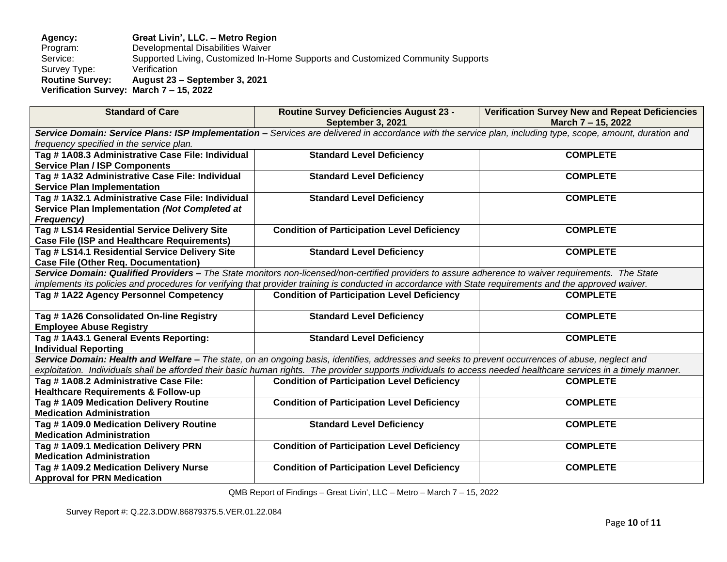### **Agency: Great Livin', LLC. – Metro Region** Program: Developmental Disabilities Waiver<br>Supported Living, Customized In-H Supported Living, Customized In-Home Supports and Customized Community Supports<br>Verification Survey Type:<br>Routine Survey: **Routine Survey: August 23 – September 3, 2021 Verification Survey: March 7 – 15, 2022**

| <b>Standard of Care</b>                                                                                                                                                                                 | <b>Routine Survey Deficiencies August 23 -</b><br>September 3, 2021                                                                                              | <b>Verification Survey New and Repeat Deficiencies</b><br>March 7 - 15, 2022 |  |  |  |
|---------------------------------------------------------------------------------------------------------------------------------------------------------------------------------------------------------|------------------------------------------------------------------------------------------------------------------------------------------------------------------|------------------------------------------------------------------------------|--|--|--|
|                                                                                                                                                                                                         |                                                                                                                                                                  |                                                                              |  |  |  |
| Service Domain: Service Plans: ISP Implementation - Services are delivered in accordance with the service plan, including type, scope, amount, duration and<br>frequency specified in the service plan. |                                                                                                                                                                  |                                                                              |  |  |  |
| Tag #1A08.3 Administrative Case File: Individual                                                                                                                                                        | <b>Standard Level Deficiency</b>                                                                                                                                 | <b>COMPLETE</b>                                                              |  |  |  |
| <b>Service Plan / ISP Components</b>                                                                                                                                                                    |                                                                                                                                                                  |                                                                              |  |  |  |
| Tag #1A32 Administrative Case File: Individual                                                                                                                                                          | <b>Standard Level Deficiency</b>                                                                                                                                 | <b>COMPLETE</b>                                                              |  |  |  |
| <b>Service Plan Implementation</b>                                                                                                                                                                      |                                                                                                                                                                  |                                                                              |  |  |  |
| Tag #1A32.1 Administrative Case File: Individual                                                                                                                                                        | <b>Standard Level Deficiency</b>                                                                                                                                 | <b>COMPLETE</b>                                                              |  |  |  |
| Service Plan Implementation (Not Completed at                                                                                                                                                           |                                                                                                                                                                  |                                                                              |  |  |  |
| Frequency)                                                                                                                                                                                              |                                                                                                                                                                  |                                                                              |  |  |  |
| Tag # LS14 Residential Service Delivery Site                                                                                                                                                            | <b>Condition of Participation Level Deficiency</b>                                                                                                               | <b>COMPLETE</b>                                                              |  |  |  |
| <b>Case File (ISP and Healthcare Requirements)</b>                                                                                                                                                      |                                                                                                                                                                  |                                                                              |  |  |  |
| Tag # LS14.1 Residential Service Delivery Site                                                                                                                                                          | <b>Standard Level Deficiency</b>                                                                                                                                 | <b>COMPLETE</b>                                                              |  |  |  |
| <b>Case File (Other Req. Documentation)</b>                                                                                                                                                             |                                                                                                                                                                  |                                                                              |  |  |  |
|                                                                                                                                                                                                         | Service Domain: Qualified Providers - The State monitors non-licensed/non-certified providers to assure adherence to waiver requirements. The State              |                                                                              |  |  |  |
| implements its policies and procedures for verifying that provider training is conducted in accordance with State requirements and the approved waiver.                                                 |                                                                                                                                                                  |                                                                              |  |  |  |
| Tag #1A22 Agency Personnel Competency                                                                                                                                                                   | <b>Condition of Participation Level Deficiency</b>                                                                                                               | <b>COMPLETE</b>                                                              |  |  |  |
| Tag #1A26 Consolidated On-line Registry                                                                                                                                                                 | <b>Standard Level Deficiency</b>                                                                                                                                 | <b>COMPLETE</b>                                                              |  |  |  |
| <b>Employee Abuse Registry</b>                                                                                                                                                                          |                                                                                                                                                                  |                                                                              |  |  |  |
| Tag #1A43.1 General Events Reporting:                                                                                                                                                                   | <b>Standard Level Deficiency</b>                                                                                                                                 | <b>COMPLETE</b>                                                              |  |  |  |
| <b>Individual Reporting</b>                                                                                                                                                                             |                                                                                                                                                                  |                                                                              |  |  |  |
|                                                                                                                                                                                                         | Service Domain: Health and Welfare – The state, on an ongoing basis, identifies, addresses and seeks to prevent occurrences of abuse, neglect and                |                                                                              |  |  |  |
|                                                                                                                                                                                                         | exploitation. Individuals shall be afforded their basic human rights. The provider supports individuals to access needed healthcare services in a timely manner. |                                                                              |  |  |  |
| Tag #1A08.2 Administrative Case File:                                                                                                                                                                   | <b>Condition of Participation Level Deficiency</b>                                                                                                               | <b>COMPLETE</b>                                                              |  |  |  |
| <b>Healthcare Requirements &amp; Follow-up</b>                                                                                                                                                          |                                                                                                                                                                  |                                                                              |  |  |  |
| Tag #1A09 Medication Delivery Routine                                                                                                                                                                   | <b>Condition of Participation Level Deficiency</b>                                                                                                               | <b>COMPLETE</b>                                                              |  |  |  |
| <b>Medication Administration</b>                                                                                                                                                                        |                                                                                                                                                                  |                                                                              |  |  |  |
| Tag # 1A09.0 Medication Delivery Routine                                                                                                                                                                | <b>Standard Level Deficiency</b>                                                                                                                                 | <b>COMPLETE</b>                                                              |  |  |  |
| <b>Medication Administration</b>                                                                                                                                                                        |                                                                                                                                                                  |                                                                              |  |  |  |
| Tag #1A09.1 Medication Delivery PRN                                                                                                                                                                     | <b>Condition of Participation Level Deficiency</b>                                                                                                               | <b>COMPLETE</b>                                                              |  |  |  |
| <b>Medication Administration</b>                                                                                                                                                                        |                                                                                                                                                                  |                                                                              |  |  |  |
| Tag #1A09.2 Medication Delivery Nurse                                                                                                                                                                   | <b>Condition of Participation Level Deficiency</b>                                                                                                               | <b>COMPLETE</b>                                                              |  |  |  |
| <b>Approval for PRN Medication</b>                                                                                                                                                                      |                                                                                                                                                                  |                                                                              |  |  |  |